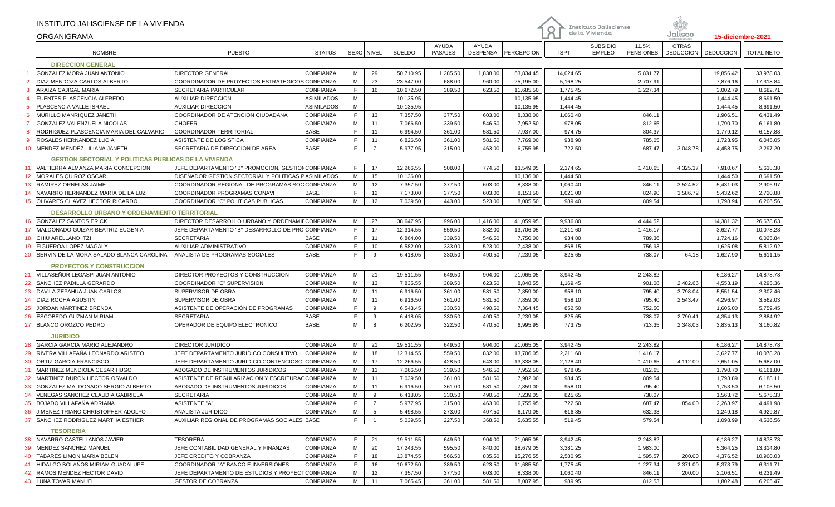|                                                              | INSTITUTO JALISCIENSE DE LA VIVIENDA                |                                                     |               |            |                |           |                         |                          |            |                | Instituto Jalisciense            |                           |                                  |                  |            |
|--------------------------------------------------------------|-----------------------------------------------------|-----------------------------------------------------|---------------|------------|----------------|-----------|-------------------------|--------------------------|------------|----------------|----------------------------------|---------------------------|----------------------------------|------------------|------------|
|                                                              | ORGANIGRAMA                                         |                                                     |               |            |                |           |                         |                          |            | de la Vivienda |                                  | Jalisco                   | 15-diciembre-2021                |                  |            |
|                                                              | <b>NOMBRE</b>                                       | <b>PUESTO</b>                                       | <b>STATUS</b> | SEXO NIVEL |                | SUELDO    | AYUDA<br><b>PASAJES</b> | AYUDA<br><b>DESPENSA</b> | PERCEPCION | <b>ISPT</b>    | <b>SUBSIDIO</b><br><b>EMPLEO</b> | 11.5%<br><b>PENSIONES</b> | <b>OTRAS</b><br><b>DEDUCCION</b> | <b>DEDUCCION</b> | TOTAL NETO |
|                                                              | <b>DIRECCION GENERAL</b>                            |                                                     |               |            |                |           |                         |                          |            |                |                                  |                           |                                  |                  |            |
|                                                              | GONZALEZ MORA JUAN ANTONIO                          | <b>DIRECTOR GENERAL</b>                             | CONFIANZA     | M          | 29             | 50,710.95 | 1,285.50                | 1,838.00                 | 53,834.45  | 14,024.65      |                                  | 5,831.77                  |                                  | 19,856.42        | 33,978.03  |
| $\overline{2}$                                               | DIAZ MENDOZA CARLOS ALBERTO                         | COORDINADOR DE PROYECTOS ESTRATEGICOS CONFIANZA     |               | M          | 23             | 23,547.00 | 688.00                  | 960.00                   | 25,195.00  | 5,168.25       |                                  | 2,707.91                  |                                  | 7,876.16         | 17,318.84  |
| 3                                                            | ARAIZA CAJIGAL MARIA                                | <b>SECRETARIA PARTICULAR</b>                        | CONFIANZA     | E          | 16             | 10,672.50 | 389.50                  | 623.50                   | 11,685.50  | 1,775.45       |                                  | 1,227.34                  |                                  | 3,002.79         | 8,682.71   |
| $\overline{4}$                                               | FUENTES PLASCENCIA ALFREDO                          | <b>AUXILIAR DIRECCION</b>                           | ASIMILADOS    | M          |                | 10,135.95 |                         |                          | 10,135.95  | 1,444.45       |                                  |                           |                                  | 1,444.45         | 8,691.50   |
| -5                                                           | PLASCENCIA VALLE ISRAEL                             | <b>AUXILIAR DIRECCION</b>                           | ASIMILADOS    | M          |                | 10,135.95 |                         |                          | 10,135.95  | 1,444.45       |                                  |                           |                                  | 1,444.45         | 8,691.50   |
| 6                                                            | MURILLO MANRIQUEZ JANETH                            | COORDINADOR DE ATENCION CIUDADANA                   | CONFIANZA     | F          | 13             | 7,357.50  | 377.50                  | 603.00                   | 8,338.00   | 1,060.40       |                                  | 846.11                    |                                  | 1,906.51         | 6,431.49   |
|                                                              | GONZALEZ VALENZUELA NICOLAS                         | <b>CHOFER</b>                                       | CONFIANZA     | M          | 11             | 7,066.50  | 339.50                  | 546.50                   | 7,952.50   | 978.05         |                                  | 812.65                    |                                  | 1,790.70         | 6,161.80   |
| 8                                                            | RODRIGUEZ PLASCENCIA MARIA DEL CALVARIO             | <b>COORDINADOR TERRITORIAL</b>                      | <b>BASE</b>   | E          | 11             | 6,994.50  | 361.00                  | 581.50                   | 7,937.00   | 974.75         |                                  | 804.37                    |                                  | 1,779.12         | 6,157.88   |
| 9                                                            | ROSALES HERNANDEZ LUCIA                             | ASISTENTE DE LOGISTICA                              | CONFIANZA     | E          | 11             | 6,826.50  | 361.00                  | 581.50                   | 7,769.00   | 938.90         |                                  | 785.05                    |                                  | 1,723.95         | 6,045.05   |
| 10 <sup>°</sup>                                              | MENDEZ MENDEZ LILIANA JANETH                        | SECRETARIA DE DIRECCION DE AREA                     | <b>BASE</b>   | F          | $\overline{7}$ | 5,977.95  | 315.00                  | 463.00                   | 6,755.95   | 722.50         |                                  | 687.47                    | 3,048.78                         | 4,458.75         | 2,297.20   |
| <b>GESTION SECTORIAL Y POLITICAS PUBLICAS DE LA VIVIENDA</b> |                                                     |                                                     |               |            |                |           |                         |                          |            |                |                                  |                           |                                  |                  |            |
| 11                                                           | VALTIERRA ALMANZA MARIA CONCEPCION                  | JEFE DEPARTAMENTO "B" PROMOCION, GESTION CONFIANZA  |               | E          | 17             | 12,266.55 | 508.00                  | 774.50                   | 13,549.05  | 2,174.65       |                                  | 1,410.65                  | 4,325.37                         | 7,910.67         | 5,638.38   |
| 12 <sup>°</sup>                                              | MORALES QUIROZ OSCAR                                | DISEÑADOR GESTION SECTORIAL Y POLITICAS PASIMILADOS |               | М          | 15             | 10,136.00 |                         |                          | 10,136.00  | 1,444.50       |                                  |                           |                                  | 1,444.50         | 8,691.50   |
| 13                                                           | RAMIREZ ORNELAS JAIME                               | COORDINADOR REGIONAL DE PROGRAMAS SOCICONFIANZA     |               | M          | 12             | 7,357.50  | 377.50                  | 603.00                   | 8,338.00   | 1,060.40       |                                  | 846.11                    | 3,524.52                         | 5,431.03         | 2,906.97   |
| 14                                                           | NAVARRO HERNANDEZ MARIA DE LA LUZ                   | COORDINADOR PROGRAMAS CONAVI                        | <b>BASE</b>   | E          | 12             | 7,173.00  | 377.50                  | 603.00                   | 8,153.50   | 1,021.00       |                                  | 824.90                    | 3,586.72                         | 5,432.62         | 2,720.88   |
| 15                                                           | <b>OLIVARES CHAVEZ HECTOR RICARDO</b>               | COORDINADOR "C" POLITICAS PUBLICAS                  | CONFIANZA     | М          | 12             | 7,039.50  | 443.00                  | 523.00                   | 8,005.50   | 989.40         |                                  | 809.54                    |                                  | 1,798.94         | 6,206.56   |
|                                                              | <b>DESARROLLO URBANO Y ORDENAMIENTO TERRITORIAL</b> |                                                     |               |            |                |           |                         |                          |            |                |                                  |                           |                                  |                  |            |
| 16                                                           | GONZALEZ SANTOS ERICK                               | DIRECTOR DESARROLLO URBANO Y ORDENAMIECONFIANZA     |               | M          | 27             | 38,647.95 | 996.00                  | 1,416.00                 | 41,059.95  | 9,936.80       |                                  | 4,444.52                  |                                  | 14,381.32        | 26,678.63  |
| 17                                                           | MALDONADO GUIZAR BEATRIZ EUGENIA                    | JEFE DEPARTAMENTO "B" DESARROLLO DE PROCONFIANZA    |               | F          | 17             | 12,314.55 | 559.50                  | 832.00                   | 13,706.05  | 2,211.60       |                                  | 1,416.17                  |                                  | 3,627.77         | 10,078.28  |
| 18                                                           | CHIU ARELLANO ITZI                                  | <b>SECRETARIA</b>                                   | <b>BASE</b>   | F          | 11             | 6,864.00  | 339.50                  | 546.50                   | 7,750.00   | 934.80         |                                  | 789.36                    |                                  | 1,724.16         | 6,025.84   |
| 19                                                           | FIGUEROA LOPEZ MAGALY                               | <b>AUXILIAR ADMINISTRATIVO</b>                      | CONFIANZA     | E          | 10             | 6,582.00  | 333.00                  | 523.00                   | 7,438.00   | 868.15         |                                  | 756.93                    |                                  | 1,625.08         | 5,812.92   |
| 20                                                           | SERVIN DE LA MORA SALADO BLANCA CAROLINA            | ANALISTA DE PROGRAMAS SOCIALES                      | <b>BASE</b>   | F          | 9              | 6,418.05  | 330.50                  | 490.50                   | 7,239.05   | 825.65         |                                  | 738.07                    | 64.18                            | 1,627.90         | 5,611.15   |
|                                                              | <b>PROYECTOS Y CONSTRUCCION</b>                     |                                                     |               |            |                |           |                         |                          |            |                |                                  |                           |                                  |                  |            |
| 21                                                           | VILLASEÑOR LEGASPI JUAN ANTONIO                     | DIRECTOR PROYECTOS Y CONSTRUCCION                   | CONFIANZA     | M          | 21             | 19,511.55 | 649.50                  | 904.00                   | 21,065.05  | 3,942.45       |                                  | 2,243.82                  |                                  | 6,186.27         | 14,878.78  |
| 22                                                           | SANCHEZ PADILLA GERARDO                             | COORDINADOR "C" SUPERVISION                         | CONFIANZA     | M          | 13             | 7,835.55  | 389.50                  | 623.50                   | 8,848.55   | 1,169.45       |                                  | 901.08                    | 2,482.66                         | 4,553.19         | 4,295.36   |
| 23                                                           | DAVILA ZEPAHUA JUAN CARLOS                          | SUPERVISOR DE OBRA                                  | CONFIANZA     | M          | 11             | 6,916.50  | 361.00                  | 581.50                   | 7,859.00   | 958.10         |                                  | 795.40                    | 3,798.04                         | 5,551.54         | 2,307.46   |
| 24                                                           | DIAZ ROCHA AGUSTIN                                  | SUPERVISOR DE OBRA                                  | CONFIANZA     | M          | 11             | 6,916.50  | 361.00                  | 581.50                   | 7,859.00   | 958.10         |                                  | 795.40                    | 2,543.47                         | 4,296.97         | 3,562.03   |
| 25                                                           | JORDAN MARTINEZ BRENDA                              | ASISTENTE DE OPERACIÓN DE PROGRAMAS                 | CONFIANZA     | E          | 9              | 6,543.45  | 330.50                  | 490.50                   | 7,364.45   | 852.50         |                                  | 752.50                    |                                  | 1,605.00         | 5,759.45   |
| 26                                                           | ESCOBEDO GUZMAN MIRIAM                              | <b>SECRETARIA</b>                                   | <b>BASE</b>   | F          | 9              | 6,418.05  | 330.50                  | 490.50                   | 7,239.05   | 825.65         |                                  | 738.07                    | 2,790.41                         | 4,354.13         | 2,884.92   |
| 27                                                           | BLANCO OROZCO PEDRO                                 | OPERADOR DE EQUIPO ELECTRONICO                      | <b>BASE</b>   | M          | 8              | 6,202.95  | 322.50                  | 470.50                   | 6,995.95   | 773.75         |                                  | 713.35                    | 2,348.03                         | 3,835.13         | 3,160.82   |
|                                                              | <b>JURIDICO</b>                                     |                                                     |               |            |                |           |                         |                          |            |                |                                  |                           |                                  |                  |            |
| 28                                                           | GARCIA GARCIA MARIO ALEJANDRO                       | <b>DIRECTOR JURIDICO</b>                            | CONFIANZA     | M          | 21             | 19,511.55 | 649.50                  | 904.00                   | 21,065.05  | 3,942.45       |                                  | 2,243.82                  |                                  | 6,186.27         | 14,878.78  |
| 29                                                           | RIVERA VILLAFAÑA LEONARDO ARISTEO                   | JEFE DEPARTAMENTO JURIDICO CONSULTIVO               | CONFIANZA     | M          | 18             | 12,314.55 | 559.50                  | 832.00                   | 13,706.05  | 2,211.60       |                                  | 1,416.17                  |                                  | 3,627.77         | 10,078.28  |
| 30                                                           | ORTIZ GARCIA FRANCISCO                              | JEFE DEPARTAMENTO JURIDICO CONTENCIOSO CONFIANZA    |               | M          | 17             | 12,266.55 | 428.50                  | 643.00                   | 13,338.05  | 2,128.40       |                                  | 1,410.65                  | 4,112.00                         | 7,651.05         | 5,687.00   |
| 31                                                           | MARTINEZ MENDIOLA CESAR HUGO                        | ABOGADO DE INSTRUMENTOS JURIDICOS                   | CONFIANZA     | M          | 11             | 7,066.50  | 339.50                  | 546.50                   | 7,952.50   | 978.05         |                                  | 812.65                    |                                  | 1,790.70         | 6,161.80   |
| 32                                                           | MARTINEZ DURON HECTOR OSVALDO                       | ASISTENTE DE REGULARIZACION Y ESCRITURAC CONFIANZA  |               | M          | 11             | 7,039.50  | 361.00                  | 581.50                   | 7,982.00   | 984.35         |                                  | 809.54                    |                                  | 1,793.89         | 6,188.11   |
| 33                                                           | GONZALEZ MALDONADO SERGIO ALBERTO                   | ABOGADO DE INSTRUMENTOS JURIDICOS                   | CONFIANZA     | M          | 11             | 6,916.50  | 361.00                  | 581.50                   | 7,859.00   | 958.10         |                                  | 795.40                    |                                  | 1,753.50         | 6,105.50   |
| -34                                                          | VENEGAS SANCHEZ CLAUDIA GABRIELA                    | <b>SECRETARIA</b>                                   | CONFIANZA     | М          | 9              | 6,418.05  | 330.50                  | 490.50                   | 7,239.05   | 825.65         |                                  | 738.07                    |                                  | 1,563.72         | 5,675.33   |
| 35                                                           | BOJADO VILLAFAÑA ADRIANA                            | <b>ASISTENTE "A"</b>                                | CONFIANZA     | F          | $\overline{7}$ | 5,977.95  | 315.00                  | 463.00                   | 6,755.95   | 722.50         |                                  | 687.47                    | 854.00                           | 2,263.97         | 4,491.98   |
| 36                                                           | JIMENEZ TRIANO CHRISTOPHER ADOLFO                   | ANALISTA JURIDICO                                   | CONFIANZA     | M          | 5              | 5,498.55  | 273.00                  | 407.50                   | 6,179.05   | 616.85         |                                  | 632.33                    |                                  | 1,249.18         | 4,929.87   |
| 37                                                           | SANCHEZ RODRIGUEZ MARTHA ESTHER                     | AUXILIAR REGIONAL DE PROGRAMAS SOCIALES BASE        |               | F          | -1             | 5,039.55  | 227.50                  | 368.50                   | 5,635.55   | 519.45         |                                  | 579.54                    |                                  | 1,098.99         | 4,536.56   |
|                                                              | <b>TESORERIA</b>                                    |                                                     |               |            |                |           |                         |                          |            |                |                                  |                           |                                  |                  |            |
| 38                                                           | NAVARRO CASTELLANOS JAVIER                          | <b>TESORERA</b>                                     | CONFIANZA     | F          | 21             | 19,511.55 | 649.50                  | 904.00                   | 21,065.05  | 3,942.45       |                                  | 2,243.82                  |                                  | 6,186.27         | 14,878.78  |
| 39                                                           | MENDEZ SANCHEZ MANUEL                               | JEFE CONTABILIDAD GENERAL Y FINANZAS                | CONFIANZA     | M          | 20             | 17,243.55 | 595.50                  | 840.00                   | 18,679.05  | 3,381.25       |                                  | 1,983.00                  |                                  | 5,364.25         | 13,314.80  |
| 40                                                           | TABARES LIMON MARIA BELEN                           | JEFE CREDITO Y COBRANZA                             | CONFIANZA     | F          | 18             | 13,874.55 | 566.50                  | 835.50                   | 15,276.55  | 2,580.95       |                                  | 1,595.57                  | 200.00                           | 4,376.52         | 10,900.03  |
| 41                                                           | HIDALGO BOLAÑOS MIRIAM GUADALUPE                    | COORDINADOR "A" BANCO E INVERSIONES                 | CONFIANZA     | E          | 16             | 10,672.50 | 389.50                  | 623.50                   | 11,685.50  | 1,775.45       |                                  | 1,227.34                  | 2,371.00                         | 5,373.79         | 6,311.71   |
| 42                                                           | RAMOS MENDEZ HECTOR DAVID                           | JEFE DEPARTAMENTO DE ESTUDIOS Y PROYECT CONFIANZA   |               | м          | 12             | 7,357.50  | 377.50                  | 603.00                   | 8,338.00   | 1,060.40       |                                  | 846.11                    | 200.00                           | 2,106.51         | 6,231.49   |
| 43                                                           | <b>LUNA TOVAR MANUEL</b>                            | <b>GESTOR DE COBRANZA</b>                           | CONFIANZA     | М          | 11             | 7,065.45  | 361.00                  | 581.50                   | 8,007.95   | 989.95         |                                  | 812.53                    |                                  | 1,802.48         | 6,205.47   |